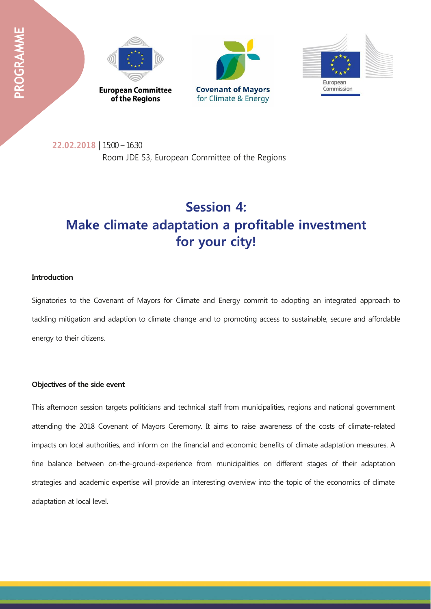





**22.02.2018 |** 15:00 – 16.30 Room JDE 53, European Committee of the Regions

# **Session 4: Make climate adaptation a profitable investment for your city!**

## **Introduction**

Signatories to the Covenant of Mayors for Climate and Energy commit to adopting an integrated approach to tackling mitigation and adaption to climate change and to promoting access to sustainable, secure and affordable energy to their citizens.

### **Objectives of the side event**

This afternoon session targets politicians and technical staff from municipalities, regions and national government attending the 2018 Covenant of Mayors Ceremony. It aims to raise awareness of the costs of climate-related impacts on local authorities, and inform on the financial and economic benefits of climate adaptation measures. A fine balance between on-the-ground-experience from municipalities on different stages of their adaptation strategies and academic expertise will provide an interesting overview into the topic of the economics of climate adaptation at local level.